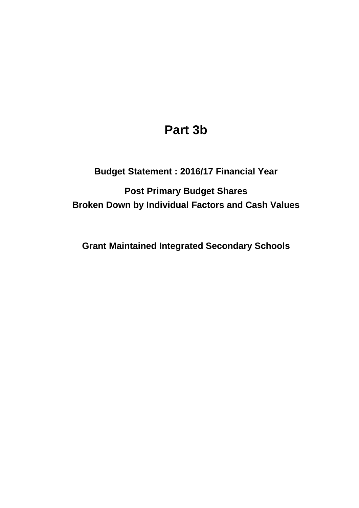# **Part 3b**

## **Budget Statement : 2016/17 Financial Year**

**Post Primary Budget Shares Broken Down by Individual Factors and Cash Values**

**Grant Maintained Integrated Secondary Schools**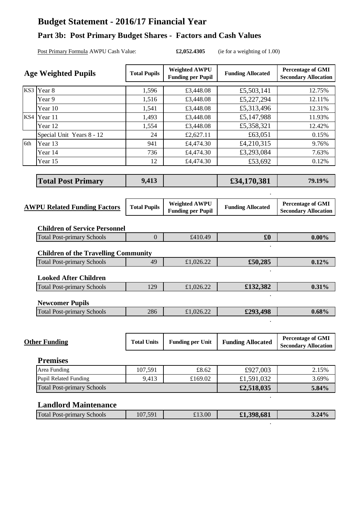### **Budget Statement - 2016/17 Financial Year**

#### **Part 3b: Post Primary Budget Shares - Factors and Cash Values**

Post Primary Formula AWPU Cash Value: **£2,052.4305** (ie for a weighting of 1.00)

|                                     | <b>Age Weighted Pupils</b>                                                | <b>Total Pupils</b> | <b>Weighted AWPU</b><br><b>Funding per Pupil</b> | <b>Funding Allocated</b> | <b>Percentage of GMI</b><br><b>Secondary Allocation</b> |
|-------------------------------------|---------------------------------------------------------------------------|---------------------|--------------------------------------------------|--------------------------|---------------------------------------------------------|
|                                     | KS3 Year 8                                                                | 1,596               | £3,448.08                                        | £5,503,141               | 12.75%                                                  |
|                                     | Year 9                                                                    | 1,516               | £3,448.08                                        | £5,227,294               | 12.11%                                                  |
|                                     | Year 10                                                                   | 1,541               | £3,448.08                                        | £5,313,496               | 12.31%                                                  |
|                                     | KS4 Year 11                                                               | 1,493               | £3,448.08                                        | £5,147,988               | 11.93%                                                  |
|                                     | Year 12                                                                   | 1,554               | £3,448.08                                        | £5,358,321               | 12.42%                                                  |
|                                     | Special Unit Years 8 - 12                                                 | 24                  | £2,627.11                                        | £63,051                  | 0.15%                                                   |
| 6th                                 | Year 13                                                                   | 941                 | £4,474.30                                        | £4,210,315               | 9.76%                                                   |
|                                     | Year 14                                                                   | 736                 | £4,474.30                                        | £3,293,084               | 7.63%                                                   |
|                                     | Year 15                                                                   | 12                  | £4,474.30                                        | £53,692                  | 0.12%                                                   |
|                                     |                                                                           |                     |                                                  |                          |                                                         |
|                                     | <b>Total Post Primary</b>                                                 | 9,413               |                                                  | £34,170,381              | 79.19%                                                  |
|                                     |                                                                           |                     |                                                  |                          |                                                         |
| <b>AWPU Related Funding Factors</b> |                                                                           | <b>Total Pupils</b> | <b>Weighted AWPU</b><br><b>Funding per Pupil</b> | <b>Funding Allocated</b> | <b>Percentage of GMI</b><br><b>Secondary Allocation</b> |
|                                     | <b>Children of Service Personnel</b><br><b>Total Post-primary Schools</b> | $\mathbf{0}$        | £410.49                                          | $\pmb{\pounds}$          | $0.00\%$                                                |
|                                     |                                                                           |                     |                                                  |                          |                                                         |
|                                     | <b>Children of the Travelling Community</b>                               |                     |                                                  |                          |                                                         |
|                                     | <b>Total Post-primary Schools</b>                                         | 49                  | £1,026.22                                        | £50,285                  | 0.12%                                                   |
|                                     | <b>Looked After Children</b>                                              |                     |                                                  |                          |                                                         |
|                                     | <b>Total Post-primary Schools</b>                                         | 129                 | £1,026.22                                        | £132,382                 | 0.31%                                                   |
|                                     | <b>Newcomer Pupils</b>                                                    |                     |                                                  |                          |                                                         |
|                                     | <b>Total Post-primary Schools</b>                                         | 286                 | £1,026.22                                        | £293,498                 | 0.68%                                                   |
|                                     |                                                                           |                     |                                                  |                          |                                                         |
|                                     | <b>Other Funding</b>                                                      | <b>Total Units</b>  | <b>Funding per Unit</b>                          | <b>Funding Allocated</b> | <b>Percentage of GMI</b><br><b>Secondary Allocation</b> |
|                                     | <b>Premises</b>                                                           |                     |                                                  |                          |                                                         |
|                                     | Area Funding                                                              | 107,591             | £8.62                                            | £927,003                 | 2.15%                                                   |
|                                     | <b>Pupil Related Funding</b>                                              | 9,413               | £169.02                                          | £1,591,032               | 3.69%                                                   |

#### **Landlord Maintenance**

Total Post-primary Schools

| Total <b>F</b><br>Schools<br>Post-primary | $\sqrt{5}$ 0.1<br>$\Lambda$<br>101 | £13.00 | 398,681<br>$\partial J$ . $\partial J$ | 3.24% |
|-------------------------------------------|------------------------------------|--------|----------------------------------------|-------|
|                                           |                                    |        |                                        |       |

**£2,518,035 5.84%**

**.**